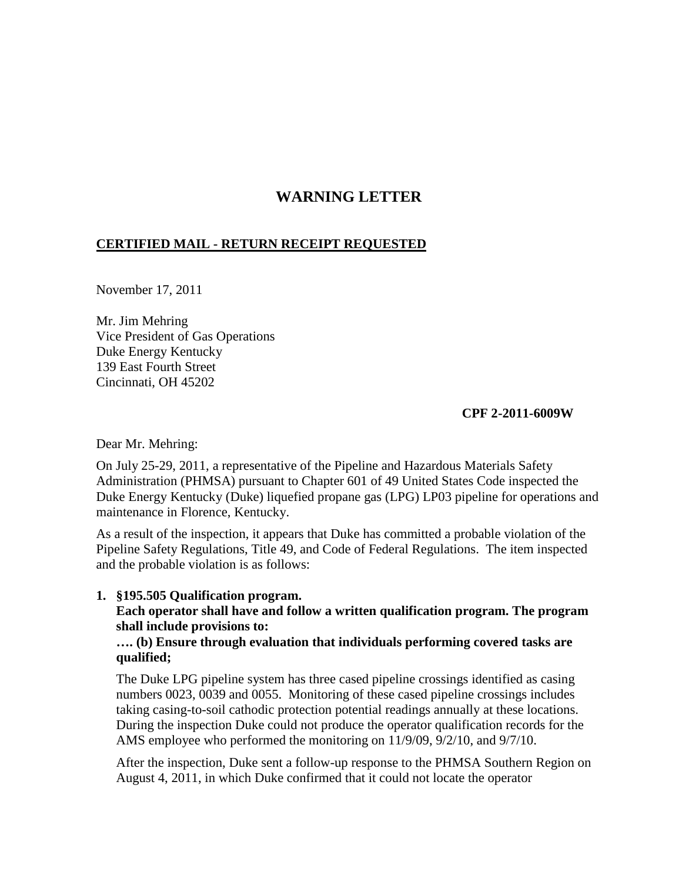# **WARNING LETTER**

## **CERTIFIED MAIL - RETURN RECEIPT REQUESTED**

November 17, 2011

Mr. Jim Mehring Vice President of Gas Operations Duke Energy Kentucky 139 East Fourth Street Cincinnati, OH 45202

### **CPF 2-2011-6009W**

Dear Mr. Mehring:

On July 25-29, 2011, a representative of the Pipeline and Hazardous Materials Safety Administration (PHMSA) pursuant to Chapter 601 of 49 United States Code inspected the Duke Energy Kentucky (Duke) liquefied propane gas (LPG) LP03 pipeline for operations and maintenance in Florence, Kentucky.

As a result of the inspection, it appears that Duke has committed a probable violation of the Pipeline Safety Regulations, Title 49, and Code of Federal Regulations. The item inspected and the probable violation is as follows:

#### **1. §195.505 Qualification program.**

**Each operator shall have and follow a written qualification program. The program shall include provisions to:**

### **…. (b) Ensure through evaluation that individuals performing covered tasks are qualified;**

The Duke LPG pipeline system has three cased pipeline crossings identified as casing numbers 0023, 0039 and 0055. Monitoring of these cased pipeline crossings includes taking casing-to-soil cathodic protection potential readings annually at these locations. During the inspection Duke could not produce the operator qualification records for the AMS employee who performed the monitoring on 11/9/09, 9/2/10, and 9/7/10.

After the inspection, Duke sent a follow-up response to the PHMSA Southern Region on August 4, 2011, in which Duke confirmed that it could not locate the operator